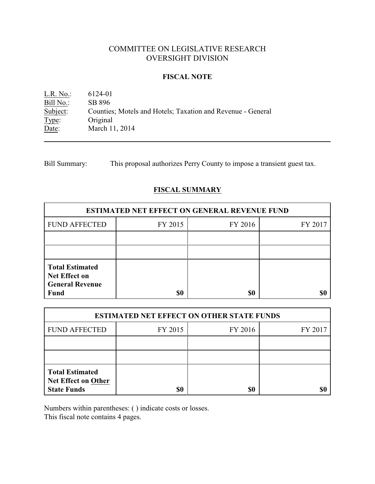# COMMITTEE ON LEGISLATIVE RESEARCH OVERSIGHT DIVISION

### **FISCAL NOTE**

L.R. No.: 6124-01 Bill No.: SB 896<br>Subject: Countier Counties; Motels and Hotels; Taxation and Revenue - General Type: Original Date: March 11, 2014

Bill Summary: This proposal authorizes Perry County to impose a transient guest tax.

# **FISCAL SUMMARY**

| <b>ESTIMATED NET EFFECT ON GENERAL REVENUE FUND</b>                                     |         |         |         |  |
|-----------------------------------------------------------------------------------------|---------|---------|---------|--|
| <b>FUND AFFECTED</b>                                                                    | FY 2015 | FY 2016 | FY 2017 |  |
|                                                                                         |         |         |         |  |
|                                                                                         |         |         |         |  |
| <b>Total Estimated</b><br><b>Net Effect on</b><br><b>General Revenue</b><br><b>Fund</b> | \$0     | \$0     |         |  |

| <b>ESTIMATED NET EFFECT ON OTHER STATE FUNDS</b>                           |         |         |         |  |
|----------------------------------------------------------------------------|---------|---------|---------|--|
| <b>FUND AFFECTED</b>                                                       | FY 2015 | FY 2016 | FY 2017 |  |
|                                                                            |         |         |         |  |
|                                                                            |         |         |         |  |
| <b>Total Estimated</b><br><b>Net Effect on Other</b><br><b>State Funds</b> | \$0     | \$0     |         |  |

Numbers within parentheses: ( ) indicate costs or losses.

This fiscal note contains 4 pages.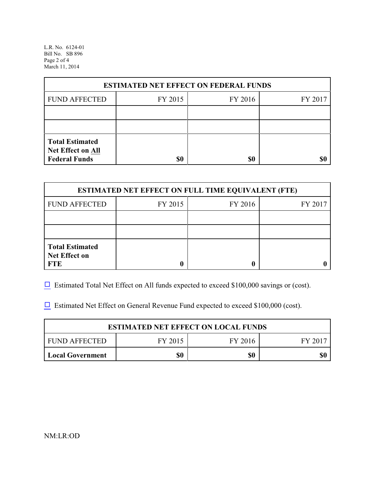L.R. No. 6124-01 Bill No. SB 896 Page 2 of 4 March 11, 2014

| <b>ESTIMATED NET EFFECT ON FEDERAL FUNDS</b> |         |         |         |  |
|----------------------------------------------|---------|---------|---------|--|
| <b>FUND AFFECTED</b>                         | FY 2015 | FY 2016 | FY 2017 |  |
|                                              |         |         |         |  |
|                                              |         |         |         |  |
| <b>Total Estimated</b><br>Net Effect on All  |         |         |         |  |
| <b>Federal Funds</b>                         | \$0     | \$0     |         |  |

| <b>ESTIMATED NET EFFECT ON FULL TIME EQUIVALENT (FTE)</b>    |         |         |         |  |
|--------------------------------------------------------------|---------|---------|---------|--|
| <b>FUND AFFECTED</b>                                         | FY 2015 | FY 2016 | FY 2017 |  |
|                                                              |         |         |         |  |
|                                                              |         |         |         |  |
| <b>Total Estimated</b><br><b>Net Effect on</b><br><b>FTE</b> |         |         |         |  |

 $\Box$  Estimated Total Net Effect on All funds expected to exceed \$100,000 savings or (cost).

 $\Box$  Estimated Net Effect on General Revenue Fund expected to exceed \$100,000 (cost).

| <b>ESTIMATED NET EFFECT ON LOCAL FUNDS</b> |         |         |       |  |
|--------------------------------------------|---------|---------|-------|--|
| FUND AFFECTED                              | FY 2015 | FY 2016 | FY 20 |  |
| Local Government                           | \$0     | \$0     | \$0   |  |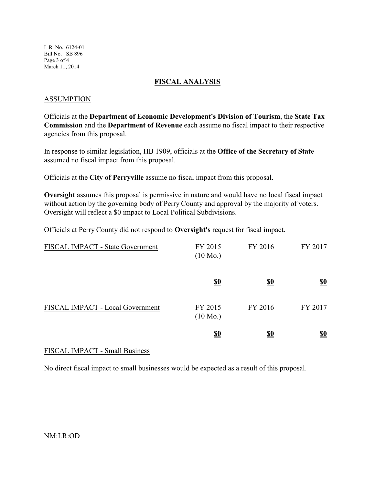L.R. No. 6124-01 Bill No. SB 896 Page 3 of 4 March 11, 2014

### **FISCAL ANALYSIS**

## ASSUMPTION

Officials at the **Department of Economic Development's Division of Tourism**, the **State Tax Commission** and the **Department of Revenue** each assume no fiscal impact to their respective agencies from this proposal.

In response to similar legislation, HB 1909, officials at the **Office of the Secretary of State** assumed no fiscal impact from this proposal.

Officials at the **City of Perryville** assume no fiscal impact from this proposal.

**Oversight** assumes this proposal is permissive in nature and would have no local fiscal impact without action by the governing body of Perry County and approval by the majority of voters. Oversight will reflect a \$0 impact to Local Political Subdivisions.

Officials at Perry County did not respond to **Oversight's** request for fiscal impact.

| FISCAL IMPACT - State Government | FY 2015<br>$(10 \text{ Mo.})$ | FY 2016                       | FY 2017                       |
|----------------------------------|-------------------------------|-------------------------------|-------------------------------|
|                                  | $\underline{\underline{\$0}}$ | $\underline{\underline{\$0}}$ | $\underline{\underline{\$0}}$ |
| FISCAL IMPACT - Local Government | FY 2015<br>$(10 \text{ Mo.})$ | FY 2016                       | FY 2017                       |
|                                  | <u>\$0</u>                    | <u>\$0</u>                    | <u>\$0</u>                    |

# FISCAL IMPACT - Small Business

No direct fiscal impact to small businesses would be expected as a result of this proposal.